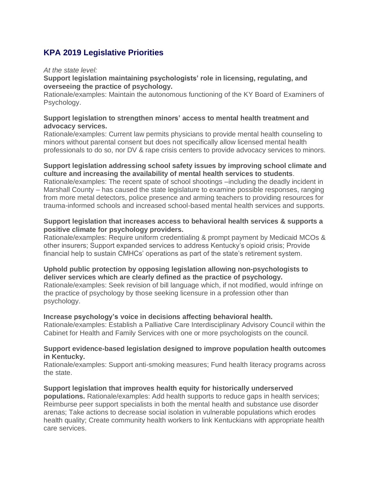# **KPA 2019 Legislative Priorities**

#### *At the state level:*

#### **Support legislation maintaining psychologists' role in licensing, regulating, and overseeing the practice of psychology.**

Rationale/examples: Maintain the autonomous functioning of the KY Board of Examiners of Psychology.

#### **Support legislation to strengthen minors' access to mental health treatment and advocacy services.**

Rationale/examples: Current law permits physicians to provide mental health counseling to minors without parental consent but does not specifically allow licensed mental health professionals to do so, nor DV & rape crisis centers to provide advocacy services to minors.

## **Support legislation addressing school safety issues by improving school climate and culture and increasing the availability of mental health services to students**.

Rationale/examples: The recent spate of school shootings –including the deadly incident in Marshall County – has caused the state legislature to examine possible responses, ranging from more metal detectors, police presence and arming teachers to providing resources for trauma-informed schools and increased school-based mental health services and supports.

## **Support legislation that increases access to behavioral health services & supports a positive climate for psychology providers.**

Rationale/examples: Require uniform credentialing & prompt payment by Medicaid MCOs & other insurers; Support expanded services to address Kentucky's opioid crisis; Provide financial help to sustain CMHCs' operations as part of the state's retirement system.

#### **Uphold public protection by opposing legislation allowing non-psychologists to deliver services which are clearly defined as the practice of psychology.**

Rationale/examples: Seek revision of bill language which, if not modified, would infringe on the practice of psychology by those seeking licensure in a profession other than psychology.

#### **Increase psychology's voice in decisions affecting behavioral health.**

Rationale/examples: Establish a Palliative Care Interdisciplinary Advisory Council within the Cabinet for Health and Family Services with one or more psychologists on the council.

#### **Support evidence-based legislation designed to improve population health outcomes in Kentucky.**

Rationale/examples: Support anti-smoking measures; Fund health literacy programs across the state.

#### **Support legislation that improves health equity for historically underserved**

**populations.** Rationale/examples: Add health supports to reduce gaps in health services; Reimburse peer support specialists in both the mental health and substance use disorder arenas; Take actions to decrease social isolation in vulnerable populations which erodes health quality; Create community health workers to link Kentuckians with appropriate health care services.